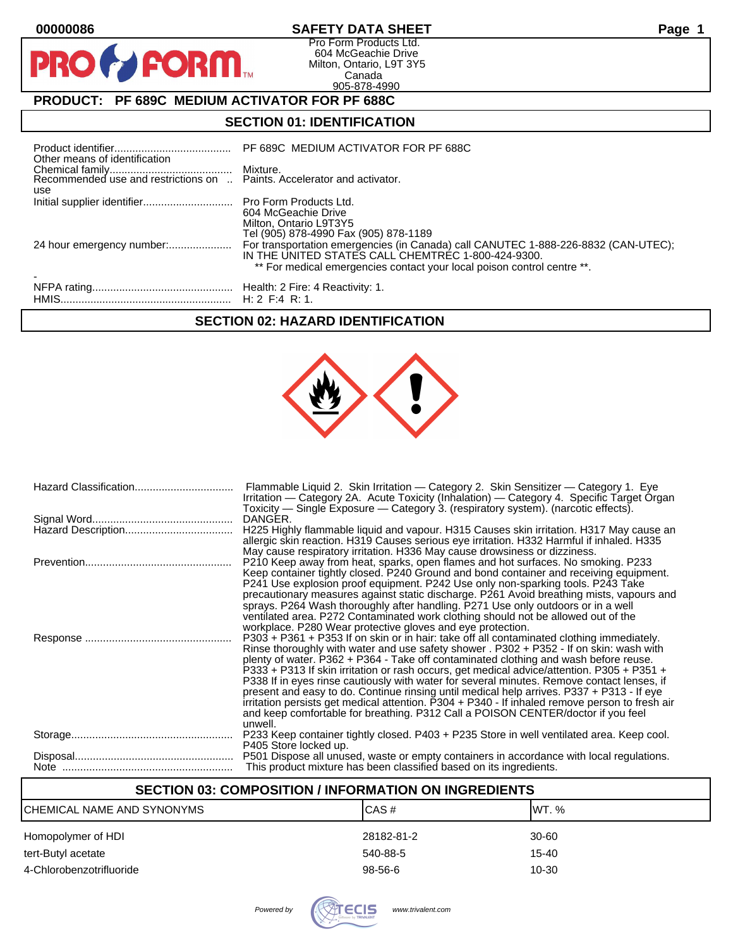$\mathbf{O}$ 

PR

# **00000086 SAFETY DATA SHEET Page 1**

Pro Form Products Ltd. 604 McGeachie Drive Milton, Ontario, L9T 3Y5 Canada 905-878-4990

# **PRODUCT: PF 689C MEDIUM ACTIVATOR FOR PF 688C**

**FORM** 

# **SECTION 01: IDENTIFICATION**

| Other means of identification | PF 689C MEDIUM ACTIVATOR FOR PF 688C                                                                                                                                                                                |
|-------------------------------|---------------------------------------------------------------------------------------------------------------------------------------------------------------------------------------------------------------------|
| use                           |                                                                                                                                                                                                                     |
|                               | 604 McGeachie Drive<br>Milton, Ontario L9T3Y5<br>Tel (905) 878-4990 Fax (905) 878-1189                                                                                                                              |
|                               | For transportation emergencies (in Canada) call CANUTEC 1-888-226-8832 (CAN-UTEC);<br>IN THE UNITED STATES CALL CHEMTREC 1-800-424-9300.<br>** For medical emergencies contact your local poison control centre **. |
|                               |                                                                                                                                                                                                                     |

# **SECTION 02: HAZARD IDENTIFICATION**



| Flammable Liquid 2. Skin Irritation - Category 2. Skin Sensitizer - Category 1. Eye<br>Irritation - Category 2A. Acute Toxicity (Inhalation) - Category 4. Specific Target Organ<br>Toxicity — Single Exposure — Category 3. (respiratory system). (narcotic effects).                                                                                                                                                                                                                                                                                                                                                                                                                                                                                                   |
|--------------------------------------------------------------------------------------------------------------------------------------------------------------------------------------------------------------------------------------------------------------------------------------------------------------------------------------------------------------------------------------------------------------------------------------------------------------------------------------------------------------------------------------------------------------------------------------------------------------------------------------------------------------------------------------------------------------------------------------------------------------------------|
| DANGER.                                                                                                                                                                                                                                                                                                                                                                                                                                                                                                                                                                                                                                                                                                                                                                  |
| H225 Highly flammable liquid and vapour. H315 Causes skin irritation. H317 May cause an<br>allergic skin reaction. H319 Causes serious eye irritation. H332 Harmful if inhaled. H335<br>May cause respiratory irritation. H336 May cause drowsiness or dizziness.                                                                                                                                                                                                                                                                                                                                                                                                                                                                                                        |
| P210 Keep away from heat, sparks, open flames and hot surfaces. No smoking. P233<br>Keep container tightly closed. P240 Ground and bond container and receiving equipment.<br>P241 Use explosion proof equipment. P242 Use only non-sparking tools. P243 Take<br>precautionary measures against static discharge. P261 Avoid breathing mists, vapours and<br>sprays. P264 Wash thoroughly after handling. P271 Use only outdoors or in a well<br>ventilated area. P272 Contaminated work clothing should not be allowed out of the<br>workplace. P280 Wear protective gloves and eye protection.                                                                                                                                                                         |
| $P303 + P361 + P353$ If on skin or in hair: take off all contaminated clothing immediately.<br>Rinse thoroughly with water and use safety shower . P302 + P352 - If on skin: wash with<br>plenty of water. P362 + P364 - Take off contaminated clothing and wash before reuse.<br>P333 + P313 If skin irritation or rash occurs, get medical advice/attention. P305 + P351 +<br>P338 If in eyes rinse cautiously with water for several minutes. Remove contact lenses, if<br>present and easy to do. Continue rinsing until medical help arrives. P337 + P313 - If eye<br>irritation persists get medical attention. P304 + P340 - If inhaled remove person to fresh air<br>and keep comfortable for breathing. P312 Call a POISON CENTER/doctor if you feel<br>unwell. |
| P233 Keep container tightly closed. P403 + P235 Store in well ventilated area. Keep cool.<br>P405 Store locked up.                                                                                                                                                                                                                                                                                                                                                                                                                                                                                                                                                                                                                                                       |
| P501 Dispose all unused, waste or empty containers in accordance with local regulations.<br>This product mixture has been classified based on its ingredients.                                                                                                                                                                                                                                                                                                                                                                                                                                                                                                                                                                                                           |

# **SECTION 03: COMPOSITION / INFORMATION ON INGREDIENTS**

| CHEMICAL NAME AND SYNONYMS | ICAS#      | IWT. %    |
|----------------------------|------------|-----------|
| Homopolymer of HDI         | 28182-81-2 | 30-60     |
| tert-Butyl acetate         | 540-88-5   | $15 - 40$ |
| 4-Chlorobenzotrifluoride   | $98-56-6$  | 10-30     |

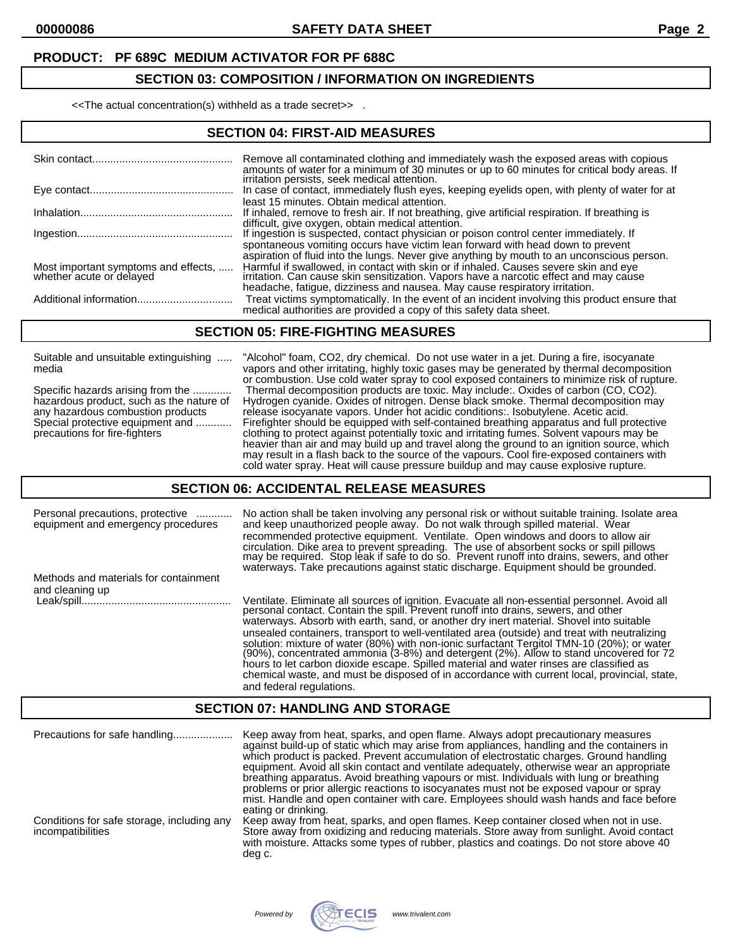### **SECTION 03: COMPOSITION / INFORMATION ON INGREDIENTS**

<<The actual concentration(s) withheld as a trade secret>> .

#### **SECTION 04: FIRST-AID MEASURES**

|                                                                  | Remove all contaminated clothing and immediately wash the exposed areas with copious<br>amounts of water for a minimum of 30 minutes or up to 60 minutes for critical body areas. If                                                                        |
|------------------------------------------------------------------|-------------------------------------------------------------------------------------------------------------------------------------------------------------------------------------------------------------------------------------------------------------|
|                                                                  | irritation persists, seek medical attention.<br>In case of contact, immediately flush eyes, keeping eyelids open, with plenty of water for at<br>least 15 minutes. Obtain medical attention.                                                                |
|                                                                  | If inhaled, remove to fresh air. If not breathing, give artificial respiration. If breathing is<br>difficult, give oxygen, obtain medical attention.                                                                                                        |
|                                                                  | If ingestion is suspected, contact physician or poison control center immediately. If                                                                                                                                                                       |
|                                                                  | spontaneous vomiting occurs have victim lean forward with head down to prevent<br>aspiration of fluid into the lungs. Never give anything by mouth to an unconscious person.                                                                                |
| Most important symptoms and effects,<br>whether acute or delayed | Harmful if swallowed, in contact with skin or if inhaled. Causes severe skin and eye<br>irritation. Can cause skin sensitization. Vapors have a narcotic effect and may cause<br>headache, fatigue, dizziness and nausea. May cause respiratory irritation. |
| Additional information                                           | Treat victims symptomatically. In the event of an incident involving this product ensure that<br>medical authorities are provided a copy of this safety data sheet.                                                                                         |

#### **SECTION 05: FIRE-FIGHTING MEASURES**

Suitable and unsuitable extinguishing ..... "Alcohol" foam, CO2, dry chemical. Do not use water in a jet. During a fire, isocyanate

media vapors and other irritating, highly toxic gases may be generated by thermal decomposition or combustion. Use cold water spray to cool exposed containers to minimize risk of rupture. Specific hazards arising from the ............. Thermal decomposition products are toxic. May include:. Oxides of carbon (CO, CO2). hazardous product, such as the nature of Hydrogen cyanide. Oxides of nitrogen. Dense black smoke. Thermal decomposition may any hazardous combustion products release isocyanate vapors. Under hot acidic conditions:. Isobutylene. Acetic acid. Special protective equipment and ............ Firefighter should be equipped with self-contained breathing apparatus and full protective precautions for fire-fighters clothing to protect against potentially toxic and irritating fumes. Solvent vapours may be heavier than air and may build up and travel along the ground to an ignition source, which may result in a flash back to the source of the vapours. Cool fire-exposed containers with cold water spray. Heat will cause pressure buildup and may cause explosive rupture.

#### **SECTION 06: ACCIDENTAL RELEASE MEASURES**

| Personal precautions, protective<br>equipment and emergency procedures | No action shall be taken involving any personal risk or without suitable training. Isolate area<br>and keep unauthorized people away. Do not walk through spilled material. Wear<br>recommended protective equipment. Ventilate. Open windows and doors to allow air<br>circulation. Dike area to prevent spreading. The use of absorbent socks or spill pillows<br>may be required. Stop leak if safe to do so. Prevent runoff into drains, sewers, and other<br>waterways. Take precautions against static discharge. Equipment should be grounded.                                                                                                                                                                                                                                      |
|------------------------------------------------------------------------|--------------------------------------------------------------------------------------------------------------------------------------------------------------------------------------------------------------------------------------------------------------------------------------------------------------------------------------------------------------------------------------------------------------------------------------------------------------------------------------------------------------------------------------------------------------------------------------------------------------------------------------------------------------------------------------------------------------------------------------------------------------------------------------------|
| Methods and materials for containment                                  |                                                                                                                                                                                                                                                                                                                                                                                                                                                                                                                                                                                                                                                                                                                                                                                            |
| and cleaning up                                                        |                                                                                                                                                                                                                                                                                                                                                                                                                                                                                                                                                                                                                                                                                                                                                                                            |
| Leak/spill                                                             | Ventilate. Eliminate all sources of ignition. Evacuate all non-essential personnel. Avoid all personal contact. Contain the spill. Prevent runoff into drains, sewers, and other<br>waterways. Absorb with earth, sand, or another dry inert material. Shovel into suitable<br>unsealed containers, transport to well-ventilated area (outside) and treat with neutralizing<br>solution: mixture of water (80%) with non-ionic surfactant Tergitol TMN-10 (20%); or water<br>(90%), concentrated ammonia (3-8%) and detergent (2%). Allow to stand uncovered for 72<br>hours to let carbon dioxide escape. Spilled material and water rinses are classified as<br>chemical waste, and must be disposed of in accordance with current local, provincial, state,<br>and federal regulations. |

#### **SECTION 07: HANDLING AND STORAGE**

| Precautions for safe handling                                   | Keep away from heat, sparks, and open flame. Always adopt precautionary measures<br>against build-up of static which may arise from appliances, handling and the containers in<br>which product is packed. Prevent accumulation of electrostatic charges. Ground handling<br>equipment. Avoid all skin contact and ventilate adequately, otherwise wear an appropriate<br>breathing apparatus. Avoid breathing vapours or mist. Individuals with lung or breathing<br>problems or prior allergic reactions to isocyanates must not be exposed vapour or spray<br>mist. Handle and open container with care. Employees should wash hands and face before<br>eating or drinking. |
|-----------------------------------------------------------------|--------------------------------------------------------------------------------------------------------------------------------------------------------------------------------------------------------------------------------------------------------------------------------------------------------------------------------------------------------------------------------------------------------------------------------------------------------------------------------------------------------------------------------------------------------------------------------------------------------------------------------------------------------------------------------|
| Conditions for safe storage, including any<br>incompatibilities | Keep away from heat, sparks, and open flames. Keep container closed when not in use.<br>Store away from oxidizing and reducing materials. Store away from sunlight. Avoid contact<br>with moisture. Attacks some types of rubber, plastics and coatings. Do not store above 40<br>deg c.                                                                                                                                                                                                                                                                                                                                                                                       |

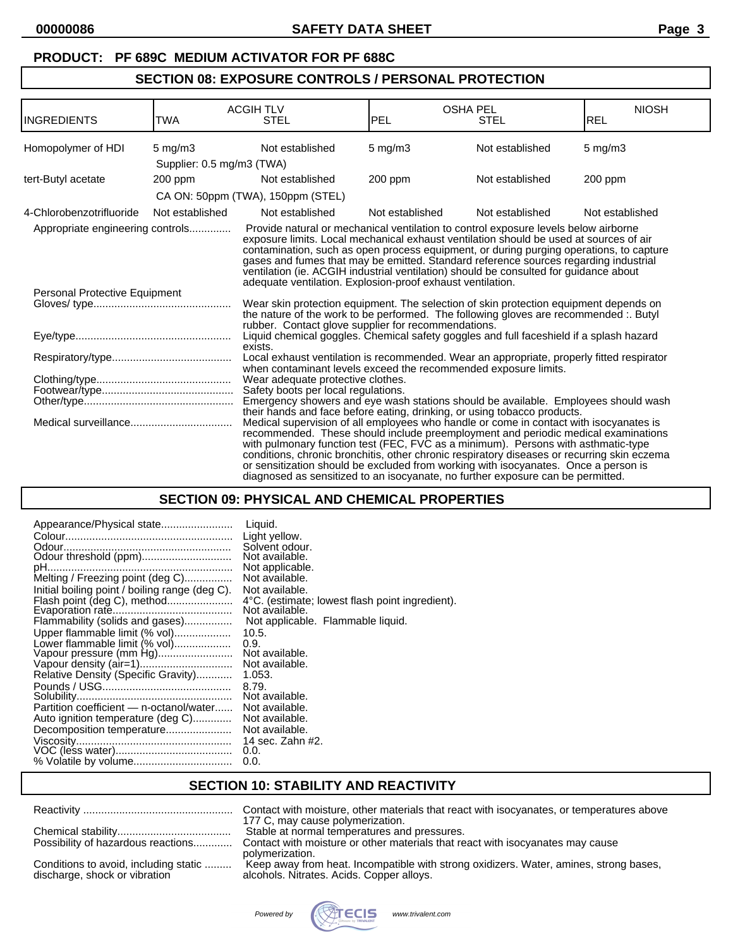# **SECTION 08: EXPOSURE CONTROLS / PERSONAL PROTECTION**

| INGREDIENTS                      | TWA                       | <b>ACGIH TLV</b><br><b>STEL</b>                                 | PEL                | <b>OSHA PEL</b><br><b>STEL</b>                                                                                                                                                                                                                                                                                                                                                                                                                                                                                                            | <b>NIOSH</b><br><b>REL</b> |
|----------------------------------|---------------------------|-----------------------------------------------------------------|--------------------|-------------------------------------------------------------------------------------------------------------------------------------------------------------------------------------------------------------------------------------------------------------------------------------------------------------------------------------------------------------------------------------------------------------------------------------------------------------------------------------------------------------------------------------------|----------------------------|
| Homopolymer of HDI               | $5 \text{ mg/m}$ 3        | Not established                                                 | $5 \text{ mg/m}$ 3 | Not established                                                                                                                                                                                                                                                                                                                                                                                                                                                                                                                           | $5$ mg/m $3$               |
|                                  | Supplier: 0.5 mg/m3 (TWA) |                                                                 |                    |                                                                                                                                                                                                                                                                                                                                                                                                                                                                                                                                           |                            |
| tert-Butyl acetate               | 200 ppm                   | Not established                                                 | 200 ppm            | Not established                                                                                                                                                                                                                                                                                                                                                                                                                                                                                                                           | 200 ppm                    |
|                                  |                           | CA ON: 50ppm (TWA), 150ppm (STEL)                               |                    |                                                                                                                                                                                                                                                                                                                                                                                                                                                                                                                                           |                            |
| 4-Chlorobenzotrifluoride         | Not established           | Not established                                                 | Not established    | Not established                                                                                                                                                                                                                                                                                                                                                                                                                                                                                                                           | Not established            |
| Appropriate engineering controls |                           | adequate ventilation. Explosion-proof exhaust ventilation.      |                    | Provide natural or mechanical ventilation to control exposure levels below airborne<br>exposure limits. Local mechanical exhaust ventilation should be used at sources of air<br>contamination, such as open process equipment, or during purging operations, to capture<br>gases and fumes that may be emitted. Standard reference sources regarding industrial<br>ventilation (ie. ACGIH industrial ventilation) should be consulted for guidance about                                                                                 |                            |
| Personal Protective Equipment    |                           |                                                                 |                    |                                                                                                                                                                                                                                                                                                                                                                                                                                                                                                                                           |                            |
|                                  |                           | rubber. Contact glove supplier for recommendations.             |                    | Wear skin protection equipment. The selection of skin protection equipment depends on<br>the nature of the work to be performed. The following gloves are recommended :. Butyl                                                                                                                                                                                                                                                                                                                                                            |                            |
|                                  |                           | exists.                                                         |                    | Liquid chemical goggles. Chemical safety goggles and full faceshield if a splash hazard                                                                                                                                                                                                                                                                                                                                                                                                                                                   |                            |
|                                  |                           | when contaminant levels exceed the recommended exposure limits. |                    | Local exhaust ventilation is recommended. Wear an appropriate, properly fitted respirator                                                                                                                                                                                                                                                                                                                                                                                                                                                 |                            |
|                                  |                           | Wear adequate protective clothes.                               |                    |                                                                                                                                                                                                                                                                                                                                                                                                                                                                                                                                           |                            |
|                                  |                           | Safety boots per local regulations.                             |                    |                                                                                                                                                                                                                                                                                                                                                                                                                                                                                                                                           |                            |
|                                  |                           |                                                                 |                    | Emergency showers and eye wash stations should be available. Employees should wash<br>their hands and face before eating, drinking, or using tobacco products.                                                                                                                                                                                                                                                                                                                                                                            |                            |
|                                  |                           |                                                                 |                    | Medical supervision of all employees who handle or come in contact with isocyanates is<br>recommended. These should include preemployment and periodic medical examinations<br>with pulmonary function test (FEC, FVC as a minimum). Persons with asthmatic-type<br>conditions, chronic bronchitis, other chronic respiratory diseases or recurring skin eczema<br>or sensitization should be excluded from working with isocyanates. Once a person is<br>diagnosed as sensitized to an isocyanate, no further exposure can be permitted. |                            |

# **SECTION 09: PHYSICAL AND CHEMICAL PROPERTIES**

# **SECTION 10: STABILITY AND REACTIVITY**

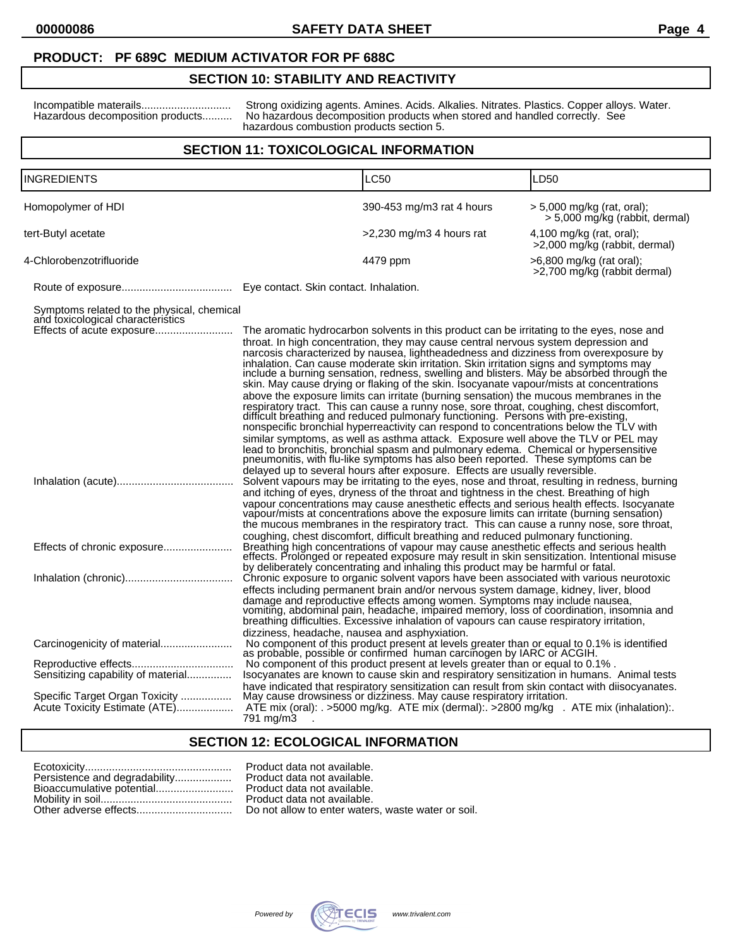### **SECTION 10: STABILITY AND REACTIVITY**

Incompatible materails.............................. Strong oxidizing agents. Amines. Acids. Alkalies. Nitrates. Plastics. Copper alloys. Water. Hazardous decomposition products.......... No hazardous decomposition products when stored and handled correctly. See hazardous combustion products section 5.

### **SECTION 11: TOXICOLOGICAL INFORMATION**

| INGREDIENTS                                                                                           |                                                            | LC50                                                                                                                                                                                                                                                                                                                                                                                                                                                                                                                                                                                                                                                                                                                                                                                                                                                                                                                                                                                                                  | LD50                                                           |
|-------------------------------------------------------------------------------------------------------|------------------------------------------------------------|-----------------------------------------------------------------------------------------------------------------------------------------------------------------------------------------------------------------------------------------------------------------------------------------------------------------------------------------------------------------------------------------------------------------------------------------------------------------------------------------------------------------------------------------------------------------------------------------------------------------------------------------------------------------------------------------------------------------------------------------------------------------------------------------------------------------------------------------------------------------------------------------------------------------------------------------------------------------------------------------------------------------------|----------------------------------------------------------------|
|                                                                                                       |                                                            |                                                                                                                                                                                                                                                                                                                                                                                                                                                                                                                                                                                                                                                                                                                                                                                                                                                                                                                                                                                                                       |                                                                |
| Homopolymer of HDI                                                                                    |                                                            | 390-453 mg/m3 rat 4 hours                                                                                                                                                                                                                                                                                                                                                                                                                                                                                                                                                                                                                                                                                                                                                                                                                                                                                                                                                                                             | $>$ 5,000 mg/kg (rat, oral);<br>> 5,000 mg/kg (rabbit, dermal) |
| tert-Butyl acetate                                                                                    |                                                            | $>2,230$ mg/m3 4 hours rat                                                                                                                                                                                                                                                                                                                                                                                                                                                                                                                                                                                                                                                                                                                                                                                                                                                                                                                                                                                            | $4,100$ mg/kg (rat, oral);<br>>2,000 mg/kg (rabbit, dermal)    |
| 4-Chlorobenzotrifluoride                                                                              |                                                            | 4479 ppm                                                                                                                                                                                                                                                                                                                                                                                                                                                                                                                                                                                                                                                                                                                                                                                                                                                                                                                                                                                                              | >6,800 mg/kg (rat oral);<br>>2,700 mg/kg (rabbit dermal)       |
|                                                                                                       | Eye contact. Skin contact. Inhalation.                     |                                                                                                                                                                                                                                                                                                                                                                                                                                                                                                                                                                                                                                                                                                                                                                                                                                                                                                                                                                                                                       |                                                                |
| Symptoms related to the physical, chemical<br>and toxicological characteristics                       |                                                            | The aromatic hydrocarbon solvents in this product can be irritating to the eyes, nose and<br>throat. In high concentration, they may cause central nervous system depression and<br>narcosis characterized by nausea, lightheadedness and dizziness from overexposure by<br>inhalation. Can cause moderate skin irritation. Skin irritation signs and symptoms may<br>include a burning sensation, redness, swelling and blisters. May be absorbed through the<br>skin. May cause drying or flaking of the skin. Isocyanate vapour/mists at concentrations<br>above the exposure limits can irritate (burning sensation) the mucous membranes in the<br>respiratory tract. This can cause a runny nose, sore throat, coughing, chest discomfort,<br>difficult breathing and reduced pulmonary functioning. Persons with pre-existing,<br>nonspecific bronchial hyperreactivity can respond to concentrations below the TLV with<br>similar symptoms, as well as asthma attack. Exposure well above the TLV or PEL may |                                                                |
|                                                                                                       |                                                            | lead to bronchitis, bronchial spasm and pulmonary edema. Chemical or hypersensitive<br>pneumonitis, with flu-like symptoms has also been reported. These symptoms can be<br>delayed up to several hours after exposure. Effects are usually reversible.<br>Solvent vapours may be irritating to the eyes, nose and throat, resulting in redness, burning<br>and itching of eyes, dryness of the throat and tightness in the chest. Breathing of high<br>vapour concentrations may cause anesthetic effects and serious health effects. Isocyanate<br>vapour/mists at concentrations above the exposure limits can irritate (burning sensation)<br>the mucous membranes in the respiratory tract. This can cause a runny nose, sore throat,                                                                                                                                                                                                                                                                            |                                                                |
| Effects of chronic exposure                                                                           |                                                            | coughing, chest discomfort, difficult breathing and reduced pulmonary functioning.<br>Breathing high concentrations of vapour may cause anesthetic effects and serious health<br>effects. Prolonged or repeated exposure may result in skin sensitization. Intentional misuse<br>by deliberately concentrating and inhaling this product may be harmful or fatal.                                                                                                                                                                                                                                                                                                                                                                                                                                                                                                                                                                                                                                                     |                                                                |
|                                                                                                       |                                                            | Chronic exposure to organic solvent vapors have been associated with various neurotoxic<br>effects including permanent brain and/or nervous system damage, kidney, liver, blood<br>damage and reproductive effects among women. Symptoms may include nausea,<br>vomiting, abdominal pain, headache, impaired memory, loss of coordination, insomnia and<br>breathing difficulties. Excessive inhalation of vapours can cause respiratory irritation,                                                                                                                                                                                                                                                                                                                                                                                                                                                                                                                                                                  |                                                                |
| Sensitizing capability of material<br>Specific Target Organ Toxicity<br>Acute Toxicity Estimate (ATE) | dizziness, headache, nausea and asphyxiation.<br>791 mg/m3 | No component of this product present at levels greater than or equal to 0.1% is identified<br>as probable, possible or confirmed human carcinogen by IARC or ACGIH.<br>No component of this product present at levels greater than or equal to 0.1%.<br>Isocyanates are known to cause skin and respiratory sensitization in humans. Animal tests<br>have indicated that respiratory sensitization can result from skin contact with diisocyanates.<br>May cause drowsiness or dizziness. May cause respiratory irritation.<br>ATE mix (oral): . >5000 mg/kg. ATE mix (dermal): >2800 mg/kg . ATE mix (inhalation):                                                                                                                                                                                                                                                                                                                                                                                                   |                                                                |

### **SECTION 12: ECOLOGICAL INFORMATION**

| Persistence and degradability |
|-------------------------------|
| Bioaccumulative potential     |
|                               |
|                               |

Product data not available. Product data not available. Product data not available. Product data not available. Do not allow to enter waters, waste water or soil.